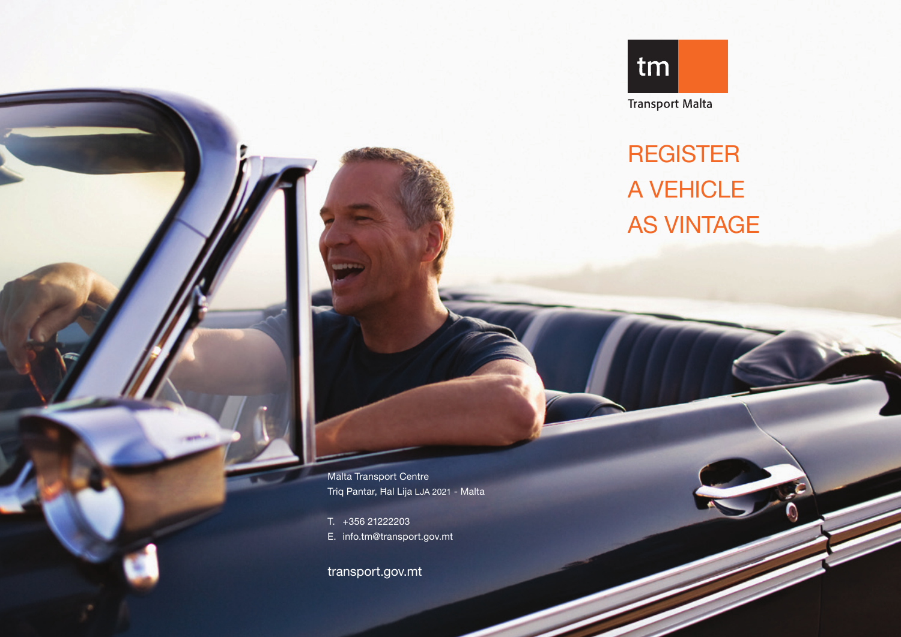

REGISTER A VEHICLE AS VINTAGE

Malta Transport Centre Triq Pantar, Ħal Lija LJA 2021 - Malta

T. +356 21222203 E. info.tm@transport.gov.mt

transport.gov.mt